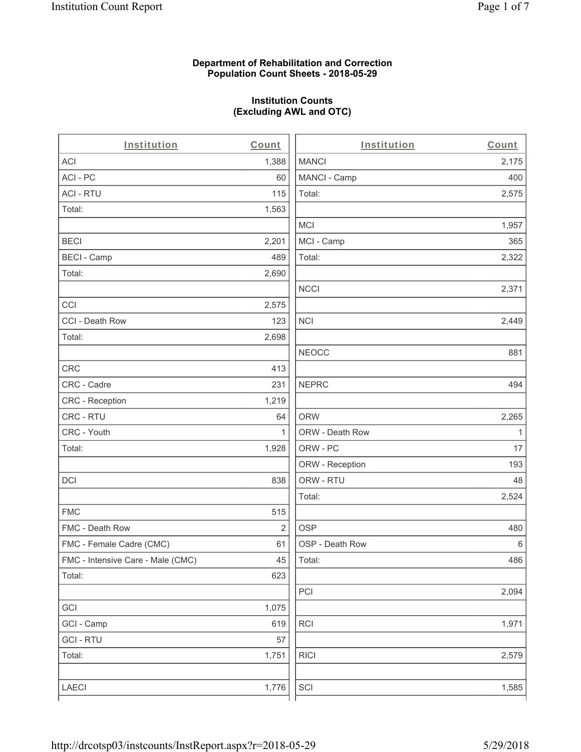## **Department of Rehabilitation and Correction Population Count Sheets - 2018-05-29**

# **Institution Counts (Excluding AWL and OTC)**

| Institution                       | Count          | Institution     | Count        |
|-----------------------------------|----------------|-----------------|--------------|
| ACI                               | 1,388          | <b>MANCI</b>    | 2,175        |
| ACI - PC                          | 60             | MANCI - Camp    | 400          |
| <b>ACI - RTU</b>                  | 115            | Total:          | 2,575        |
| Total:                            | 1,563          |                 |              |
|                                   |                | <b>MCI</b>      | 1,957        |
| <b>BECI</b>                       | 2,201          | MCI - Camp      | 365          |
| <b>BECI - Camp</b>                | 489            | Total:          | 2,322        |
| Total:                            | 2,690          |                 |              |
|                                   |                | <b>NCCI</b>     | 2,371        |
| CCI                               | 2,575          |                 |              |
| CCI - Death Row                   | 123            | <b>NCI</b>      | 2,449        |
| Total:                            | 2,698          |                 |              |
|                                   |                | <b>NEOCC</b>    | 881          |
| CRC                               | 413            |                 |              |
| CRC - Cadre                       | 231            | <b>NEPRC</b>    | 494          |
| CRC - Reception                   | 1,219          |                 |              |
| CRC - RTU                         | 64             | <b>ORW</b>      | 2,265        |
| CRC - Youth                       | 1              | ORW - Death Row | $\mathbf{1}$ |
| Total:                            | 1,928          | ORW - PC        | 17           |
|                                   |                | ORW - Reception | 193          |
| DCI                               | 838            | ORW - RTU       | 48           |
|                                   |                | Total:          | 2,524        |
| <b>FMC</b>                        | 515            |                 |              |
| FMC - Death Row                   | $\overline{2}$ | <b>OSP</b>      | 480          |
| FMC - Female Cadre (CMC)          | 61             | OSP - Death Row | 6            |
| FMC - Intensive Care - Male (CMC) | 45             | Total:          | 486          |
| Total:                            | 623            |                 |              |
|                                   |                | PCI             | 2,094        |
| GCI                               | 1,075          |                 |              |
| GCI - Camp                        | 619            | RCI             | 1,971        |
| <b>GCI - RTU</b>                  | 57             |                 |              |
| Total:                            | 1,751          | <b>RICI</b>     | 2,579        |
|                                   |                |                 |              |
| LAECI                             | 1,776          | SCI             | 1,585        |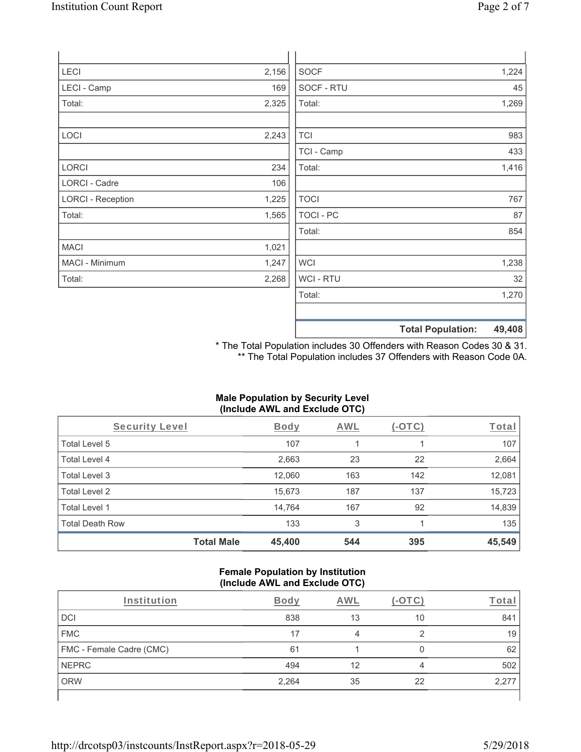| LECI                     | 2,156 | <b>SOCF</b>      | 1,224 |
|--------------------------|-------|------------------|-------|
| LECI - Camp              | 169   | SOCF - RTU       | 45    |
| Total:                   | 2,325 | Total:           | 1,269 |
|                          |       |                  |       |
| LOCI                     | 2,243 | <b>TCI</b>       | 983   |
|                          |       | TCI - Camp       | 433   |
| LORCI                    | 234   | Total:           | 1,416 |
| <b>LORCI - Cadre</b>     | 106   |                  |       |
| <b>LORCI - Reception</b> | 1,225 | <b>TOCI</b>      | 767   |
| Total:                   | 1,565 | <b>TOCI - PC</b> | 87    |
|                          |       | Total:           | 854   |
| <b>MACI</b>              | 1,021 |                  |       |
| MACI - Minimum           | 1,247 | <b>WCI</b>       | 1,238 |
| Total:                   | 2,268 | WCI - RTU        | 32    |
|                          |       | Total:           | 1,270 |
|                          |       |                  |       |

\* The Total Population includes 30 Offenders with Reason Codes 30 & 31. \*\* The Total Population includes 37 Offenders with Reason Code 0A.

**Total Population: 49,408**

# **Male Population by Security Level (Include AWL and Exclude OTC)**

| Security Level         |                   | Body   | AWL | (-OTC) | Total  |
|------------------------|-------------------|--------|-----|--------|--------|
| Total Level 5          |                   | 107    |     |        | 107    |
| Total Level 4          |                   | 2,663  | 23  | 22     | 2,664  |
| Total Level 3          |                   | 12,060 | 163 | 142    | 12,081 |
| Total Level 2          |                   | 15,673 | 187 | 137    | 15,723 |
| Total Level 1          |                   | 14,764 | 167 | 92     | 14,839 |
| <b>Total Death Row</b> |                   | 133    | 3   |        | 135    |
|                        | <b>Total Male</b> | 45,400 | 544 | 395    | 45,549 |

#### **Female Population by Institution (Include AWL and Exclude OTC)**

| Institution                     | <b>Body</b> | AWL |    | <u><sup>r</sup>ota</u> r |
|---------------------------------|-------------|-----|----|--------------------------|
| <b>DCI</b>                      | 838         | 13  | 10 | 841                      |
| <b>FMC</b>                      | 17          |     |    | 19                       |
| <b>FMC - Female Cadre (CMC)</b> | 61          |     | 0  | 62                       |
| <b>NEPRC</b>                    | 494         | 12  | 4  | 502                      |
| <b>ORW</b>                      | 2,264       | 35  | 22 | 2,277                    |
|                                 |             |     |    |                          |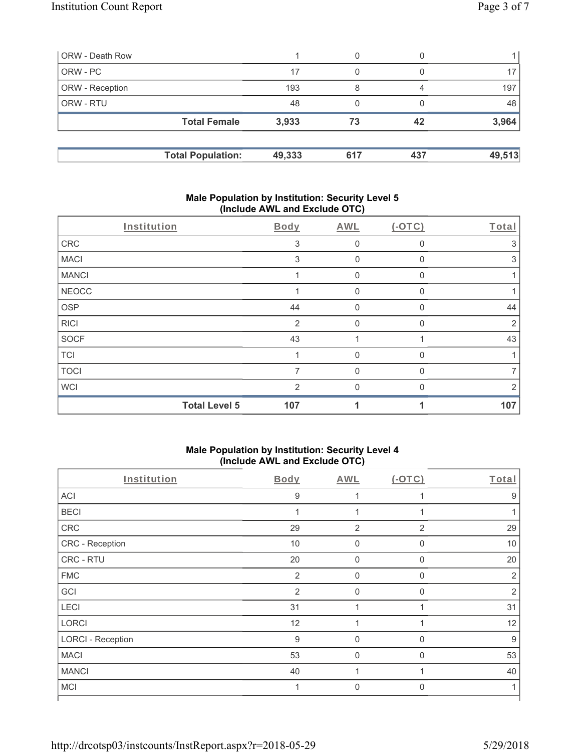| ORW - Death Row        |                          |        | 0   |     |        |
|------------------------|--------------------------|--------|-----|-----|--------|
| ORW - PC               |                          | 17     | 0   |     |        |
| <b>ORW</b> - Reception |                          | 193    | 8   | 4   | 197    |
| <b>ORW - RTU</b>       |                          | 48     | 0   |     | 48     |
|                        | <b>Total Female</b>      | 3,933  | 73  | 42  | 3,964  |
|                        | <b>Total Population:</b> | 49,333 | 617 | 437 | 49,513 |

## **Male Population by Institution: Security Level 5 (Include AWL and Exclude OTC)**

|              | Institution          | Body           | <b>AWL</b>  | $(-OTC)$     | Total          |
|--------------|----------------------|----------------|-------------|--------------|----------------|
| CRC          |                      | 3              | 0           | $\Omega$     | 3              |
| <b>MACI</b>  |                      | 3              | $\mathbf 0$ | $\Omega$     | 3              |
| <b>MANCI</b> |                      |                | $\mathbf 0$ | 0            |                |
| <b>NEOCC</b> |                      |                | 0           | 0            |                |
| <b>OSP</b>   |                      | 44             | 0           | 0            | 44             |
| <b>RICI</b>  |                      | $\overline{2}$ | 0           | $\Omega$     | $\overline{2}$ |
| <b>SOCF</b>  |                      | 43             |             |              | 43             |
| <b>TCI</b>   |                      |                | $\Omega$    | 0            |                |
| <b>TOCI</b>  |                      | 7              | $\Omega$    | $\mathbf{0}$ | 7              |
| <b>WCI</b>   |                      | $\mathcal{P}$  | $\Omega$    | $\Omega$     | 2              |
|              | <b>Total Level 5</b> | 107            |             |              | 107            |

## **Male Population by Institution: Security Level 4 (Include AWL and Exclude OTC)**

| $\mathbf{r}$             |                  | $\overline{\phantom{a}}$ |                |                |
|--------------------------|------------------|--------------------------|----------------|----------------|
| Institution              | <b>Body</b>      | <b>AWL</b>               | (OTC)          | Total          |
| <b>ACI</b>               | 9                |                          |                | 9              |
| <b>BECI</b>              | 1                |                          |                |                |
| ${\sf CRC}$              | 29               | $\overline{2}$           | $\overline{2}$ | 29             |
| CRC - Reception          | 10               | $\mathbf 0$              | $\Omega$       | 10             |
| CRC - RTU                | 20               | $\mathbf 0$              | $\Omega$       | 20             |
| <b>FMC</b>               | $\overline{2}$   | $\mathbf 0$              | $\Omega$       | $\overline{2}$ |
| GCI                      | 2                | $\mathbf 0$              | $\Omega$       | $\overline{2}$ |
| LECI                     | 31               | 1                        |                | 31             |
| LORCI                    | 12               | 1                        |                | 12             |
| <b>LORCI - Reception</b> | $\boldsymbol{9}$ | $\mathbf 0$              | $\mathbf 0$    | 9              |
| <b>MACI</b>              | 53               | $\mathbf 0$              | $\mathbf 0$    | 53             |
| <b>MANCI</b>             | 40               |                          |                | 40             |
| <b>MCI</b>               | 1                | $\mathbf 0$              | $\Omega$       |                |
|                          |                  |                          |                |                |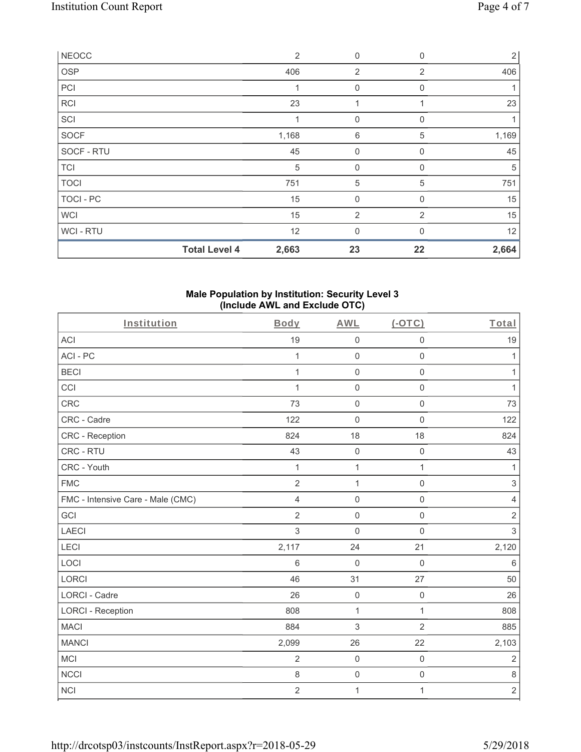| <b>NEOCC</b> |                      | $\overline{2}$ | $\mathbf 0$    | $\mathbf 0$  | $\overline{2}$ |
|--------------|----------------------|----------------|----------------|--------------|----------------|
| <b>OSP</b>   |                      | 406            | $\overline{2}$ | 2            | 406            |
| PCI          |                      | 1              | $\mathbf 0$    | 0            |                |
| <b>RCI</b>   |                      | 23             | 1              |              | 23             |
| SCI          |                      |                | $\mathbf{0}$   | $\Omega$     |                |
| SOCF         |                      | 1,168          | 6              | 5            | 1,169          |
| SOCF - RTU   |                      | 45             | $\mathbf 0$    | $\mathbf 0$  | 45             |
| <b>TCI</b>   |                      | 5              | $\mathbf{0}$   | 0            | 5              |
| <b>TOCI</b>  |                      | 751            | 5              | 5            | 751            |
| TOCI - PC    |                      | 15             | $\mathbf 0$    | $\mathbf{0}$ | 15             |
| <b>WCI</b>   |                      | 15             | $\overline{2}$ | 2            | 15             |
| WCI-RTU      |                      | 12             | $\mathbf{0}$   | $\mathbf{0}$ | 12             |
|              | <b>Total Level 4</b> | 2,663          | 23             | 22           | 2,664          |

### **Male Population by Institution: Security Level 3 (Include AWL and Exclude OTC)**

| Institution                       | Body           | <b>AWL</b>          | $(-OTC)$            | Total           |
|-----------------------------------|----------------|---------------------|---------------------|-----------------|
| <b>ACI</b>                        | 19             | $\mathsf 0$         | $\mathbf 0$         | 19              |
| ACI-PC                            | $\mathbf{1}$   | $\mathsf 0$         | $\mathbf 0$         | 1               |
| <b>BECI</b>                       | $\mathbf{1}$   | $\mathsf 0$         | $\mathsf 0$         | 1               |
| CCI                               | $\mathbf 1$    | $\mathsf 0$         | $\mathbf 0$         | 1               |
| <b>CRC</b>                        | 73             | $\mathsf 0$         | $\mathbf 0$         | 73              |
| CRC - Cadre                       | 122            | $\mathsf{O}\xspace$ | $\mathbf 0$         | 122             |
| CRC - Reception                   | 824            | 18                  | 18                  | 824             |
| CRC - RTU                         | 43             | $\mathsf{O}\xspace$ | $\mathbf 0$         | 43              |
| CRC - Youth                       | $\mathbf{1}$   | $\mathbf{1}$        | $\mathbf{1}$        | $\mathbf{1}$    |
| <b>FMC</b>                        | $\overline{2}$ | $\mathbf{1}$        | $\mathsf 0$         | $\,$ 3 $\,$     |
| FMC - Intensive Care - Male (CMC) | $\overline{4}$ | $\mathsf 0$         | $\mathbf 0$         | $\sqrt{4}$      |
| GCI                               | $\overline{2}$ | $\mathsf 0$         | $\mathbf 0$         | $\overline{2}$  |
| <b>LAECI</b>                      | 3              | $\mathbf 0$         | $\mathbf 0$         | $\mathfrak{S}$  |
| LECI                              | 2,117          | 24                  | 21                  | 2,120           |
| LOCI                              | 6              | $\mathbf 0$         | $\mathbf 0$         | $6\phantom{1}6$ |
| LORCI                             | 46             | 31                  | 27                  | 50              |
| <b>LORCI - Cadre</b>              | 26             | $\mathsf 0$         | $\mathsf{O}\xspace$ | 26              |
| <b>LORCI - Reception</b>          | 808            | $\mathbf{1}$        | $\mathbf{1}$        | 808             |
| <b>MACI</b>                       | 884            | $\mathfrak{S}$      | $\overline{2}$      | 885             |
| <b>MANCI</b>                      | 2,099          | 26                  | 22                  | 2,103           |
| <b>MCI</b>                        | $\overline{2}$ | $\mathsf 0$         | $\mathbf 0$         | $\overline{2}$  |
| <b>NCCI</b>                       | 8              | $\mathsf{O}\xspace$ | $\mathbf 0$         | $\,8\,$         |
| <b>NCI</b>                        | $\overline{2}$ | 1                   | $\mathbf{1}$        | $\sqrt{2}$      |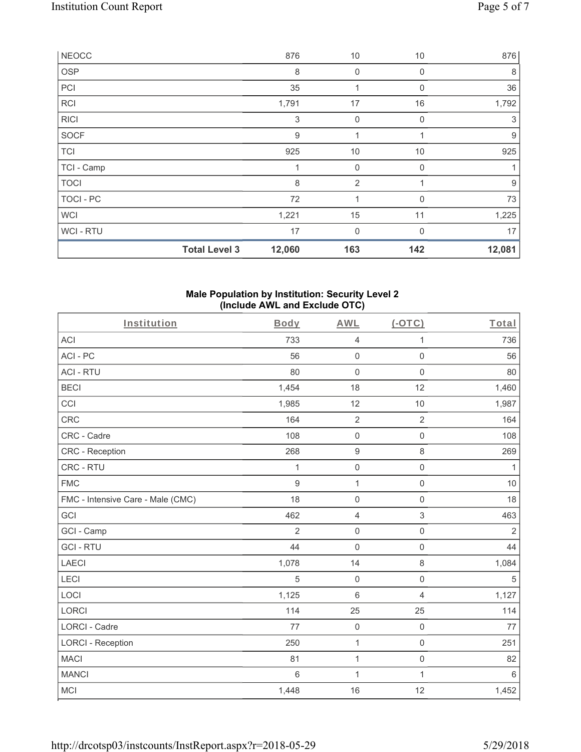|                  | <b>Total Level 3</b> | 12,060 | 163            | 142      | 12,081 |
|------------------|----------------------|--------|----------------|----------|--------|
| WCI - RTU        |                      | 17     | $\mathbf 0$    | $\Omega$ | 17     |
| <b>WCI</b>       |                      | 1,221  | 15             | 11       | 1,225  |
| <b>TOCI - PC</b> |                      | 72     | 4              | $\Omega$ | 73     |
| <b>TOCI</b>      |                      | 8      | $\overline{2}$ |          | 9      |
| TCI - Camp       |                      |        | 0              | $\Omega$ |        |
| <b>TCI</b>       |                      | 925    | 10             | 10       | 925    |
| <b>SOCF</b>      |                      | 9      | 1              | 1        | 9      |
| <b>RICI</b>      |                      | 3      | $\mathbf{0}$   | $\Omega$ | 3      |
| <b>RCI</b>       |                      | 1,791  | 17             | 16       | 1,792  |
| PCI              |                      | 35     | 1              | $\Omega$ | 36     |
| <b>OSP</b>       |                      | 8      | 0              | 0        | 8      |
| <b>NEOCC</b>     |                      | 876    | 10             | 10       | 876    |

### **Male Population by Institution: Security Level 2 (Include AWL and Exclude OTC)**

| Institution                       | Body            | <b>AWL</b>          | $(-OTC)$            | Total          |
|-----------------------------------|-----------------|---------------------|---------------------|----------------|
| <b>ACI</b>                        | 733             | $\overline{4}$      | $\mathbf{1}$        | 736            |
| ACI-PC                            | 56              | $\mathsf{O}\xspace$ | $\mathsf 0$         | 56             |
| <b>ACI - RTU</b>                  | 80              | $\mathbf 0$         | 0                   | 80             |
| <b>BECI</b>                       | 1,454           | 18                  | 12                  | 1,460          |
| CCI                               | 1,985           | 12                  | 10                  | 1,987          |
| CRC                               | 164             | $\overline{2}$      | $\overline{2}$      | 164            |
| CRC - Cadre                       | 108             | $\mathsf 0$         | $\mathsf{O}\xspace$ | 108            |
| CRC - Reception                   | 268             | $\boldsymbol{9}$    | $\,8\,$             | 269            |
| CRC - RTU                         | 1               | $\mathsf{O}\xspace$ | $\mathsf{O}\xspace$ | $\mathbf{1}$   |
| <b>FMC</b>                        | 9               | $\mathbf 1$         | $\mathsf{O}\xspace$ | 10             |
| FMC - Intensive Care - Male (CMC) | 18              | $\mathsf{O}\xspace$ | $\mathsf{O}\xspace$ | 18             |
| GCI                               | 462             | $\overline{4}$      | $\,$ 3 $\,$         | 463            |
| GCI - Camp                        | 2               | $\mathbf 0$         | $\mathbf 0$         | $\overline{2}$ |
| <b>GCI-RTU</b>                    | 44              | $\mathbf 0$         | $\mathsf 0$         | 44             |
| <b>LAECI</b>                      | 1,078           | 14                  | 8                   | 1,084          |
| LECI                              | 5               | $\mathbf 0$         | $\mathsf{O}\xspace$ | $\sqrt{5}$     |
| LOCI                              | 1,125           | $6\phantom{1}$      | $\overline{4}$      | 1,127          |
| <b>LORCI</b>                      | 114             | 25                  | 25                  | 114            |
| <b>LORCI - Cadre</b>              | 77              | $\mathbf 0$         | $\mathbf 0$         | 77             |
| <b>LORCI - Reception</b>          | 250             | $\mathbf{1}$        | $\mathsf 0$         | 251            |
| <b>MACI</b>                       | 81              | $\mathbf 1$         | $\mathsf{O}\xspace$ | 82             |
| <b>MANCI</b>                      | $6\phantom{1}6$ | $\mathbf{1}$        | $\mathbf{1}$        | 6              |
| <b>MCI</b>                        | 1,448           | 16                  | 12                  | 1,452          |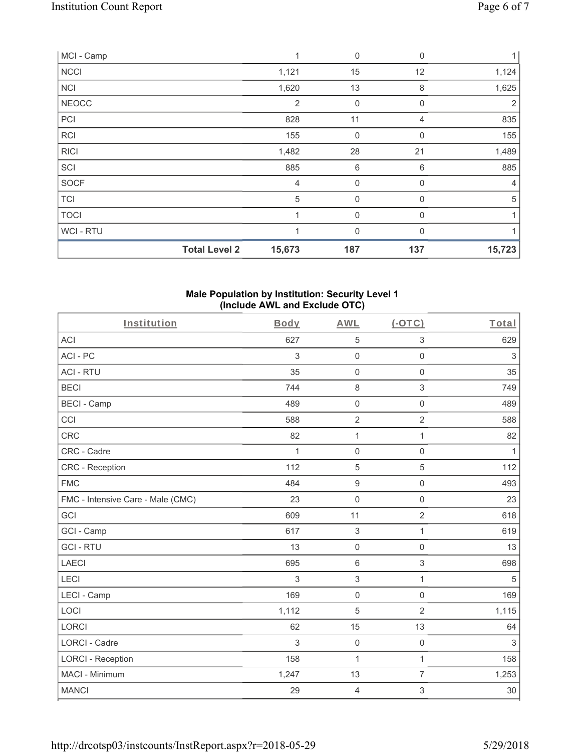| MCI - Camp   |                      | 1              | $\mathbf 0$    | $\mathbf 0$  | 1              |
|--------------|----------------------|----------------|----------------|--------------|----------------|
| <b>NCCI</b>  |                      | 1,121          | 15             | 12           | 1,124          |
| <b>NCI</b>   |                      | 1,620          | 13             | 8            | 1,625          |
| <b>NEOCC</b> |                      | 2              | $\mathbf 0$    | $\mathbf{0}$ | 2              |
| PCI          |                      | 828            | 11             | 4            | 835            |
| <b>RCI</b>   |                      | 155            | $\mathbf 0$    | $\mathbf 0$  | 155            |
| <b>RICI</b>  |                      | 1,482          | 28             | 21           | 1,489          |
| SCI          |                      | 885            | 6              | 6            | 885            |
| <b>SOCF</b>  |                      | $\overline{4}$ | 0              | 0            | $\overline{4}$ |
| <b>TCI</b>   |                      | 5              | 0              | $\Omega$     | $\sqrt{5}$     |
| <b>TOCI</b>  |                      | 1              | $\overline{0}$ | $\mathbf{0}$ |                |
| WCI - RTU    |                      |                | 0              | $\Omega$     |                |
|              | <b>Total Level 2</b> | 15,673         | 187            | 137          | 15,723         |

### **Male Population by Institution: Security Level 1 (Include AWL and Exclude OTC)**

| Institution                       | Body         | <b>AWL</b>          | $(-OTC)$            | Total                     |
|-----------------------------------|--------------|---------------------|---------------------|---------------------------|
| <b>ACI</b>                        | 627          | 5                   | $\,$ 3 $\,$         | 629                       |
| ACI-PC                            | 3            | $\mathsf{O}\xspace$ | $\mathbf 0$         | $\ensuremath{\mathsf{3}}$ |
| <b>ACI - RTU</b>                  | 35           | $\mathsf{O}\xspace$ | $\mathbf 0$         | 35                        |
| <b>BECI</b>                       | 744          | $\,8\,$             | $\mathfrak{S}$      | 749                       |
| <b>BECI - Camp</b>                | 489          | $\mathbf 0$         | $\mathbf 0$         | 489                       |
| CCI                               | 588          | $\overline{2}$      | $\overline{2}$      | 588                       |
| <b>CRC</b>                        | 82           | $\mathbf 1$         | $\mathbf{1}$        | 82                        |
| CRC - Cadre                       | $\mathbf{1}$ | $\mathbf 0$         | $\mathbf 0$         | $\mathbf{1}$              |
| <b>CRC</b> - Reception            | 112          | 5                   | $\overline{5}$      | 112                       |
| <b>FMC</b>                        | 484          | $\boldsymbol{9}$    | $\mathsf 0$         | 493                       |
| FMC - Intensive Care - Male (CMC) | 23           | $\mathbf 0$         | $\mathsf 0$         | 23                        |
| GCI                               | 609          | 11                  | $\overline{2}$      | 618                       |
| GCI - Camp                        | 617          | 3                   | $\mathbf{1}$        | 619                       |
| <b>GCI-RTU</b>                    | 13           | $\mathsf{O}\xspace$ | $\mathsf 0$         | 13                        |
| <b>LAECI</b>                      | 695          | $\,6\,$             | $\sqrt{3}$          | 698                       |
| LECI                              | 3            | $\mathfrak{S}$      | $\mathbf{1}$        | $\sqrt{5}$                |
| LECI - Camp                       | 169          | $\mathsf{O}\xspace$ | $\mathbf 0$         | 169                       |
| LOCI                              | 1,112        | 5                   | $\overline{2}$      | 1,115                     |
| <b>LORCI</b>                      | 62           | 15                  | 13                  | 64                        |
| <b>LORCI - Cadre</b>              | 3            | $\mathsf{O}\xspace$ | $\mathsf{O}\xspace$ | 3                         |
| <b>LORCI - Reception</b>          | 158          | 1                   | $\mathbf{1}$        | 158                       |
| MACI - Minimum                    | 1,247        | 13                  | $\overline{7}$      | 1,253                     |
| <b>MANCI</b>                      | 29           | $\overline{4}$      | 3                   | 30                        |